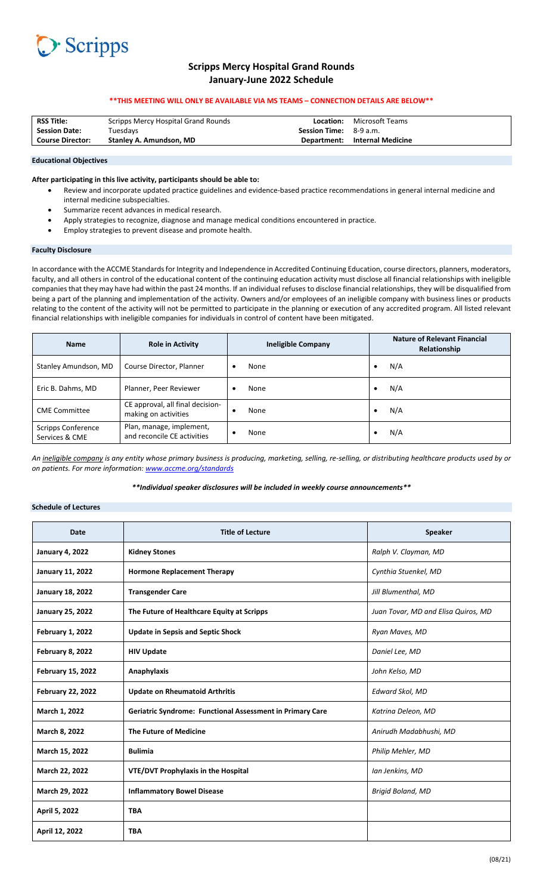# Scripps **Seripps**

# **Scripps Mercy Hospital Grand Rounds January‐June 2022 Schedule**

## **\*\*THIS MEETING WILL ONLY BE AVAILABLE VIA MS TEAMS – CONNECTION DETAILS ARE BELOW\*\***

| <b>RSS Title:</b>       | Scripps Mercy Hospital Grand Rounds | Location:                     | Microsoft Teams               |
|-------------------------|-------------------------------------|-------------------------------|-------------------------------|
| <b>Session Date:</b>    | Tuesdays                            | <b>Session Time:</b> 8-9 a.m. |                               |
| <b>Course Director:</b> | Stanley A. Amundson. MD             |                               | Department: Internal Medicine |
|                         |                                     |                               |                               |

#### **Educational Objectives**

### **After participating in this live activity, participants should be able to:**

- Review and incorporate updated practice guidelines and evidence‐based practice recommendations in general internal medicine and internal medicine subspecialties.
- Summarize recent advances in medical research.
- Apply strategies to recognize, diagnose and manage medical conditions encountered in practice.
- Employ strategies to prevent disease and promote health.

### **Faculty Disclosure**

In accordance with the ACCME Standards for Integrity and Independence in Accredited Continuing Education, course directors, planners, moderators, faculty, and all others in control of the educational content of the continuing education activity must disclose all financial relationships with ineligible companies that they may have had within the past 24 months. If an individual refuses to disclose financial relationships, they will be disqualified from being a part of the planning and implementation of the activity. Owners and/or employees of an ineligible company with business lines or products relating to the content of the activity will not be permitted to participate in the planning or execution of any accredited program. All listed relevant financial relationships with ineligible companies for individuals in control of content have been mitigated.

| <b>Name</b>                                 | <b>Role in Activity</b>                                  | <b>Ineligible Company</b> | <b>Nature of Relevant Financial</b><br>Relationship |
|---------------------------------------------|----------------------------------------------------------|---------------------------|-----------------------------------------------------|
| Stanley Amundson, MD                        | Course Director, Planner                                 | None<br>٠                 | N/A                                                 |
| Eric B. Dahms, MD                           | Planner, Peer Reviewer                                   | None<br>٠                 | N/A                                                 |
| <b>CME</b> Committee                        | CE approval, all final decision-<br>making on activities | None<br>$\bullet$         | N/A                                                 |
| <b>Scripps Conference</b><br>Services & CME | Plan, manage, implement,<br>and reconcile CE activities  | None                      | N/A                                                 |

*An ineligible company is any entity whose primary business is producing, marketing, selling, re‐selling, or distributing healthcare products used by or on patients. For more information: www.accme.org/standards*

*\*\*Individual speaker disclosures will be included in weekly course announcements\*\** 

# **Schedule of Lectures**

| <b>Date</b>              | <b>Title of Lecture</b>                                          | <b>Speaker</b>                      |
|--------------------------|------------------------------------------------------------------|-------------------------------------|
| <b>January 4, 2022</b>   | <b>Kidney Stones</b>                                             | Ralph V. Clayman, MD                |
| <b>January 11, 2022</b>  | <b>Hormone Replacement Therapy</b>                               | Cynthia Stuenkel, MD                |
| <b>January 18, 2022</b>  | <b>Transgender Care</b>                                          | Jill Blumenthal, MD                 |
| <b>January 25, 2022</b>  | The Future of Healthcare Equity at Scripps                       | Juan Tovar, MD and Elisa Quiros, MD |
| February 1, 2022         | <b>Update in Sepsis and Septic Shock</b>                         | Ryan Maves, MD                      |
| February 8, 2022         | <b>HIV Update</b>                                                | Daniel Lee, MD                      |
| <b>February 15, 2022</b> | Anaphylaxis                                                      | John Kelso, MD                      |
| <b>February 22, 2022</b> | <b>Update on Rheumatoid Arthritis</b>                            | Edward Skol, MD                     |
| March 1, 2022            | <b>Geriatric Syndrome: Functional Assessment in Primary Care</b> | Katrina Deleon, MD                  |
| March 8, 2022            | The Future of Medicine                                           | Anirudh Madabhushi, MD              |
| March 15, 2022           | <b>Bulimia</b>                                                   | Philip Mehler, MD                   |
| March 22, 2022           | <b>VTE/DVT Prophylaxis in the Hospital</b>                       | Ian Jenkins, MD                     |
| March 29, 2022           | <b>Inflammatory Bowel Disease</b>                                | <b>Brigid Boland, MD</b>            |
| April 5, 2022            | <b>TBA</b>                                                       |                                     |
| April 12, 2022           | <b>TBA</b>                                                       |                                     |